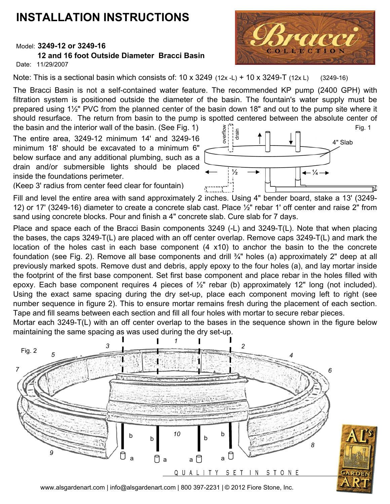## **INSTALLATION INSTRUCTIONS**

## Model: **3249-12 or 3249-16**

## **12 and 16 foot Outside Diameter Bracci Basin**

Date: 11/29/2007

Note: This is a sectional basin which consists of:  $10 \times 3249$  ( $12 \times -1$ ) +  $10 \times 3249$ -T ( $12 \times 1$ ) (3249-16)

The Bracci Basin is not a self-contained water feature. The recommended KP pump (2400 GPH) with filtration system is positioned outside the diameter of the basin. The fountain's water supply must be prepared using 1½" PVC from the planned center of the basin down 18" and out to the pump site where it should resurface. The return from basin to the pump is spotted centered between the absolute center of

the basin and the interior wall of the basin. (See Fig. 1) The entire area, 3249-12 minimum 14' and 3249-16 minimum 18' should be excavated to a minimum 6" below surface and any additional plumbing, such as a drain and/or submersible lights should be placed inside the foundations perimeter.

(Keep 3' radius from center feed clear for fountain)

Fill and level the entire area with sand approximately 2 inches. Using 4" bender board, stake a 13' (3249- 12) or 17' (3249-16) diameter to create a concrete slab cast. Place ½" rebar 1' off center and raise 2" from sand using concrete blocks. Pour and finish a 4" concrete slab. Cure slab for 7 days.

Place and space each of the Bracci Basin components 3249 (-L) and 3249-T(L). Note that when placing the bases, the caps 3249-T(L) are placed with an off center overlap. Remove caps 3249-T(L) and mark the location of the holes cast in each base component (4 x10) to anchor the basin to the the concrete foundation (see Fig. 2). Remove all base components and drill ¾" holes (a) approximately 2" deep at all previously marked spots. Remove dust and debris, apply epoxy to the four holes (a), and lay mortar inside the footprint of the first base component. Set first base component and place rebar in the holes filled with epoxy. Each base component requires 4 pieces of ½" rebar (b) approximately 12" long (not included). Using the exact same spacing during the dry set-up, place each component moving left to right (see number sequence in figure 2). This to ensure mortar remains fresh during the placement of each section. Tape and fill seams between each section and fill all four holes with mortar to secure rebar pieces.

Mortar each 3249-T(L) with an off center overlap to the bases in the sequence shown in the figure below maintaining the same spacing as was used during the dry set-up.





www.alsgardenart.com | info@alsgardenart.com | 800 397-2231 | © 2012 Fiore Stone, Inc.